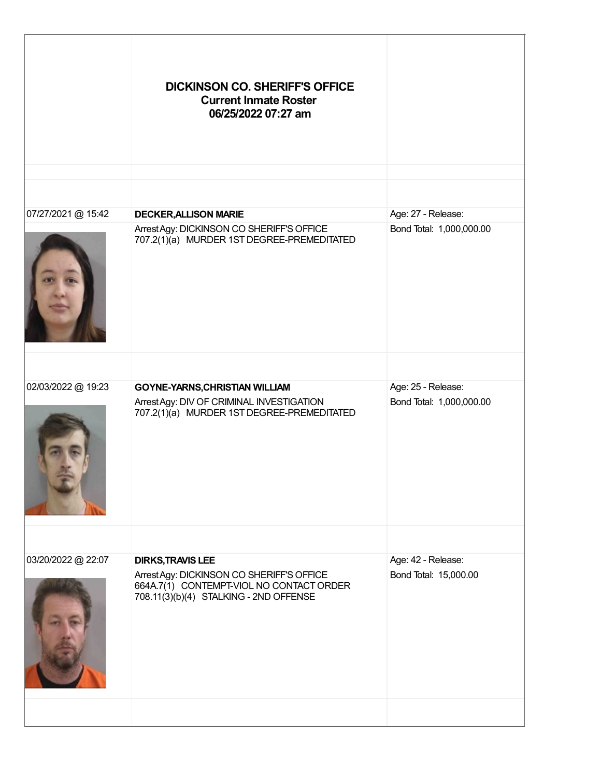|                    | <b>DICKINSON CO. SHERIFF'S OFFICE</b><br><b>Current Inmate Roster</b><br>06/25/2022 07:27 am                                    |                                                |
|--------------------|---------------------------------------------------------------------------------------------------------------------------------|------------------------------------------------|
|                    |                                                                                                                                 |                                                |
| 07/27/2021 @ 15:42 | <b>DECKER, ALLISON MARIE</b><br>Arrest Agy: DICKINSON CO SHERIFF'S OFFICE<br>707.2(1)(a) MURDER 1ST DEGREE-PREMEDITATED         | Age: 27 - Release:<br>Bond Total: 1,000,000.00 |
|                    |                                                                                                                                 |                                                |
| 02/03/2022 @ 19:23 | <b>GOYNE-YARNS, CHRISTIAN WILLIAM</b>                                                                                           | Age: 25 - Release:                             |
|                    | Arrest Agy: DIV OF CRIMINAL INVESTIGATION<br>707.2(1)(a) MURDER 1ST DEGREE-PREMEDITATED                                         | Bond Total: 1,000,000.00                       |
|                    |                                                                                                                                 |                                                |
| 03/20/2022 @ 22:07 | <b>DIRKS, TRAVIS LEE</b>                                                                                                        | Age: 42 - Release:                             |
|                    | Arrest Agy: DICKINSON CO SHERIFF'S OFFICE<br>664A.7(1) CONTEMPT-VIOL NO CONTACT ORDER<br>708.11(3)(b)(4) STALKING - 2ND OFFENSE | Bond Total: 15,000.00                          |
|                    |                                                                                                                                 |                                                |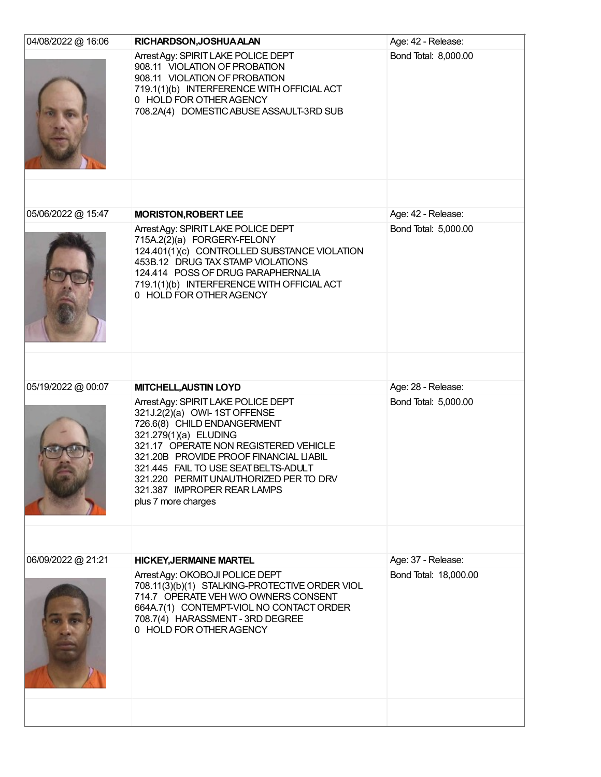| 04/08/2022 @ 16:06 | RICHARDSON, JOSHUA ALAN                                                                                                                                                                                                                                                                                                                                 | Age: 42 - Release:    |
|--------------------|---------------------------------------------------------------------------------------------------------------------------------------------------------------------------------------------------------------------------------------------------------------------------------------------------------------------------------------------------------|-----------------------|
|                    | Arrest Agy: SPIRIT LAKE POLICE DEPT<br>908.11 VIOLATION OF PROBATION<br>908.11 VIOLATION OF PROBATION<br>719.1(1)(b) INTERFERENCE WITH OFFICIAL ACT<br>0 HOLD FOR OTHER AGENCY<br>708.2A(4) DOMESTIC ABUSE ASSAULT-3RD SUB                                                                                                                              | Bond Total: 8,000.00  |
|                    |                                                                                                                                                                                                                                                                                                                                                         |                       |
| 05/06/2022 @ 15:47 | <b>MORISTON, ROBERT LEE</b>                                                                                                                                                                                                                                                                                                                             | Age: 42 - Release:    |
|                    | Arrest Agy: SPIRIT LAKE POLICE DEPT<br>715A.2(2)(a) FORGERY-FELONY<br>124.401(1)(c) CONTROLLED SUBSTANCE VIOLATION<br>453B.12 DRUG TAX STAMP VIOLATIONS<br>124.414 POSS OF DRUG PARAPHERNALIA<br>719.1(1)(b) INTERFERENCE WITH OFFICIAL ACT<br>0 HOLD FOR OTHER AGENCY                                                                                  | Bond Total: 5,000.00  |
|                    |                                                                                                                                                                                                                                                                                                                                                         |                       |
| 05/19/2022 @ 00:07 | <b>MITCHELL, AUSTIN LOYD</b>                                                                                                                                                                                                                                                                                                                            | Age: 28 - Release:    |
|                    | Arrest Agy: SPIRIT LAKE POLICE DEPT<br>321J.2(2)(a) OWI- 1ST OFFENSE<br>726.6(8) CHILD ENDANGERMENT<br>321.279(1)(a) ELUDING<br>321.17 OPERATE NON REGISTERED VEHICLE<br>321.20B PROVIDE PROOF FINANCIAL LIABIL<br>321.445 FAIL TO USE SEAT BELTS-ADULT<br>321.220 PERMIT UNAUTHORIZED PER TO DRV<br>321.387 IMPROPER REAR LAMPS<br>plus 7 more charges | Bond Total: 5,000.00  |
|                    |                                                                                                                                                                                                                                                                                                                                                         |                       |
| 06/09/2022 @ 21:21 | <b>HICKEY, JERMAINE MARTEL</b>                                                                                                                                                                                                                                                                                                                          | Age: 37 - Release:    |
|                    | Arrest Agy: OKOBOJI POLICE DEPT<br>708.11(3)(b)(1) STALKING-PROTECTIVE ORDER VIOL<br>714.7 OPERATE VEH W/O OWNERS CONSENT<br>664A.7(1) CONTEMPT-VIOL NO CONTACT ORDER<br>708.7(4) HARASSMENT - 3RD DEGREE<br>0 HOLD FOR OTHER AGENCY                                                                                                                    | Bond Total: 18,000.00 |
|                    |                                                                                                                                                                                                                                                                                                                                                         |                       |